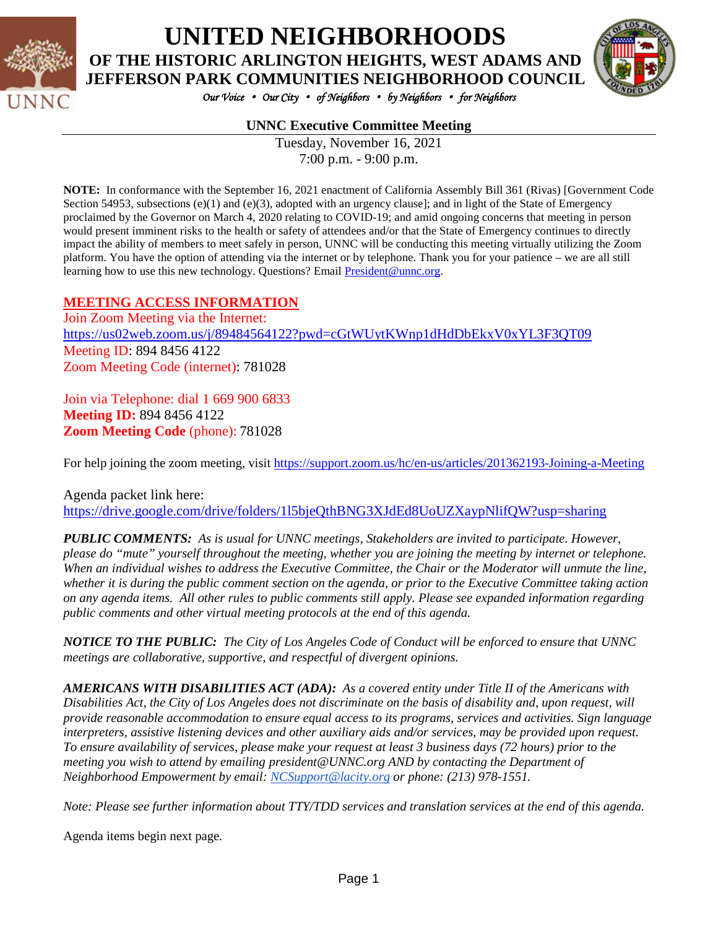

# **UNITED NEIGHBORHOODS OF THE HISTORIC ARLINGTON HEIGHTS, WEST ADAMS AND JEFFERSON PARK COMMUNITIES NEIGHBORHOOD COUNCIL**



*Our Voice* • *Our City* • *of Neighbors* • *by Neighbors* • *for Neighbors* 

## **UNNC Executive Committee Meeting**

Tuesday, November 16, 2021 7:00 p.m. - 9:00 p.m.

**NOTE:** In conformance with the September 16, 2021 enactment of California Assembly Bill 361 (Rivas) [Government Code Section 54953, subsections  $(e)(1)$  and  $(e)(3)$ , adopted with an urgency clause]; and in light of the State of Emergency proclaimed by the Governor on March 4, 2020 relating to COVID-19; and amid ongoing concerns that meeting in person would present imminent risks to the health or safety of attendees and/or that the State of Emergency continues to directly impact the ability of members to meet safely in person, UNNC will be conducting this meeting virtually utilizing the Zoom platform. You have the option of attending via the internet or by telephone. Thank you for your patience – we are all still learning how to use this new technology. Questions? Email [President@unnc.org.](mailto:President@unnc.org)

#### **MEETING ACCESS INFORMATION**

Join Zoom Meeting via the Internet: <https://us02web.zoom.us/j/89484564122?pwd=cGtWUytKWnp1dHdDbEkxV0xYL3F3QT09> Meeting ID: 894 8456 4122 Zoom Meeting Code (internet): 781028

Join via Telephone: dial 1 669 900 6833 **Meeting ID:** 894 8456 4122 **Zoom Meeting Code** (phone): 781028

For help joining the zoom meeting, visit<https://support.zoom.us/hc/en-us/articles/201362193-Joining-a-Meeting>

Agenda packet link here: <https://drive.google.com/drive/folders/1l5bjeQthBNG3XJdEd8UoUZXaypNlifQW?usp=sharing>

*PUBLIC COMMENTS: As is usual for UNNC meetings, Stakeholders are invited to participate. However, please do "mute" yourself throughout the meeting, whether you are joining the meeting by internet or telephone. When an individual wishes to address the Executive Committee, the Chair or the Moderator will unmute the line, whether it is during the public comment section on the agenda, or prior to the Executive Committee taking action on any agenda items. All other rules to public comments still apply. Please see expanded information regarding public comments and other virtual meeting protocols at the end of this agenda.*

*NOTICE TO THE PUBLIC: The City of Los Angeles Code of Conduct will be enforced to ensure that UNNC meetings are collaborative, supportive, and respectful of divergent opinions.* 

*AMERICANS WITH DISABILITIES ACT (ADA): As a covered entity under Title II of the Americans with Disabilities Act, the City of Los Angeles does not discriminate on the basis of disability and, upon request, will provide reasonable accommodation to ensure equal access to its programs, services and activities. Sign language interpreters, assistive listening devices and other auxiliary aids and/or services, may be provided upon request. To ensure availability of services, please make your request at least 3 business days (72 hours) prior to the meeting you wish to attend by emailing president@UNNC.org AND by contacting the Department of Neighborhood Empowerment by email: [NCSupport@lacity.org](mailto:NCSupport@lacity.org) or phone: (213) 978-1551.* 

*Note: Please see further information about TTY/TDD services and translation services at the end of this agenda.*

Agenda items begin next page*.*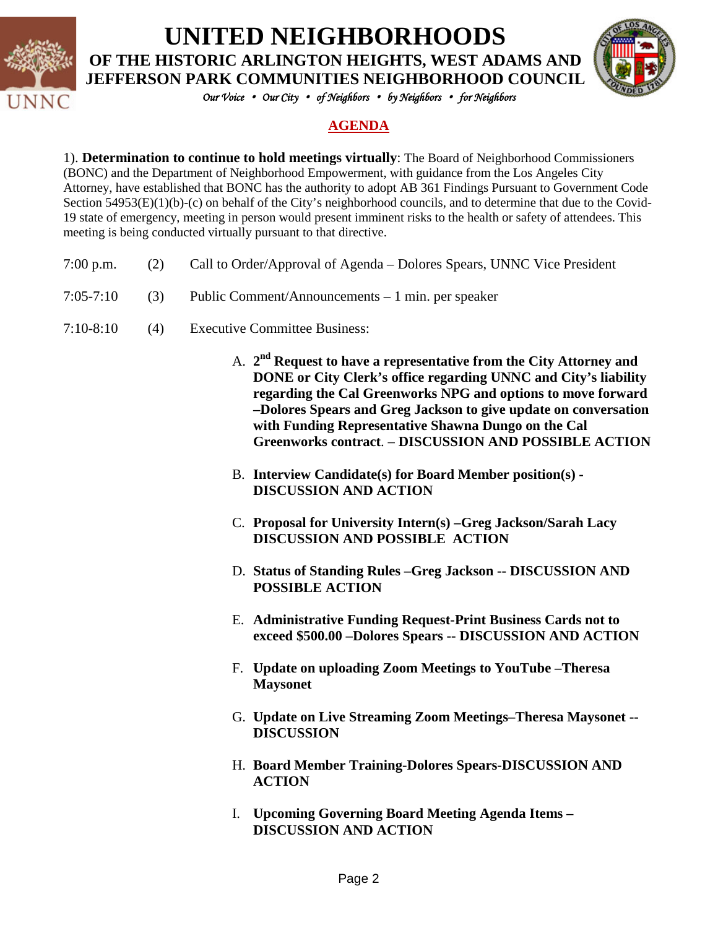

**UNITED NEIGHBORHOODS**

**OF THE HISTORIC ARLINGTON HEIGHTS, WEST ADAMS AND JEFFERSON PARK COMMUNITIES NEIGHBORHOOD COUNCIL**



*Our Voice* • *Our City* • *of Neighbors* • *by Neighbors* • *for Neighbors* 

## **AGENDA**

1). **Determination to continue to hold meetings virtually**: The Board of Neighborhood Commissioners (BONC) and the Department of Neighborhood Empowerment, with guidance from the Los Angeles City Attorney, have established that BONC has the authority to adopt AB 361 Findings Pursuant to Government Code Section 54953(E)(1)(b)-(c) on behalf of the City's neighborhood councils, and to determine that due to the Covid-19 state of emergency, meeting in person would present imminent risks to the health or safety of attendees. This meeting is being conducted virtually pursuant to that directive.

- 7:00 p.m. (2) Call to Order/Approval of Agenda Dolores Spears, UNNC Vice President
- 7:05-7:10 (3) Public Comment/Announcements 1 min. per speaker
- 7:10-8:10 (4) Executive Committee Business:
	- A. **2nd Request to have a representative from the City Attorney and DONE or City Clerk's office regarding UNNC and City's liability regarding the Cal Greenworks NPG and options to move forward –Dolores Spears and Greg Jackson to give update on conversation with Funding Representative Shawna Dungo on the Cal Greenworks contract**. – **DISCUSSION AND POSSIBLE ACTION**
	- B. **Interview Candidate(s) for Board Member position(s) - DISCUSSION AND ACTION**
	- C. **Proposal for University Intern(s) –Greg Jackson/Sarah Lacy DISCUSSION AND POSSIBLE ACTION**
	- D. **Status of Standing Rules –Greg Jackson -- DISCUSSION AND POSSIBLE ACTION**
	- E. **Administrative Funding Request-Print Business Cards not to exceed \$500.00 –Dolores Spears -- DISCUSSION AND ACTION**
	- F. **Update on uploading Zoom Meetings to YouTube –Theresa Maysonet**
	- G. **Update on Live Streaming Zoom Meetings–Theresa Maysonet -- DISCUSSION**
	- H. **Board Member Training-Dolores Spears-DISCUSSION AND ACTION**
	- I. **Upcoming Governing Board Meeting Agenda Items – DISCUSSION AND ACTION**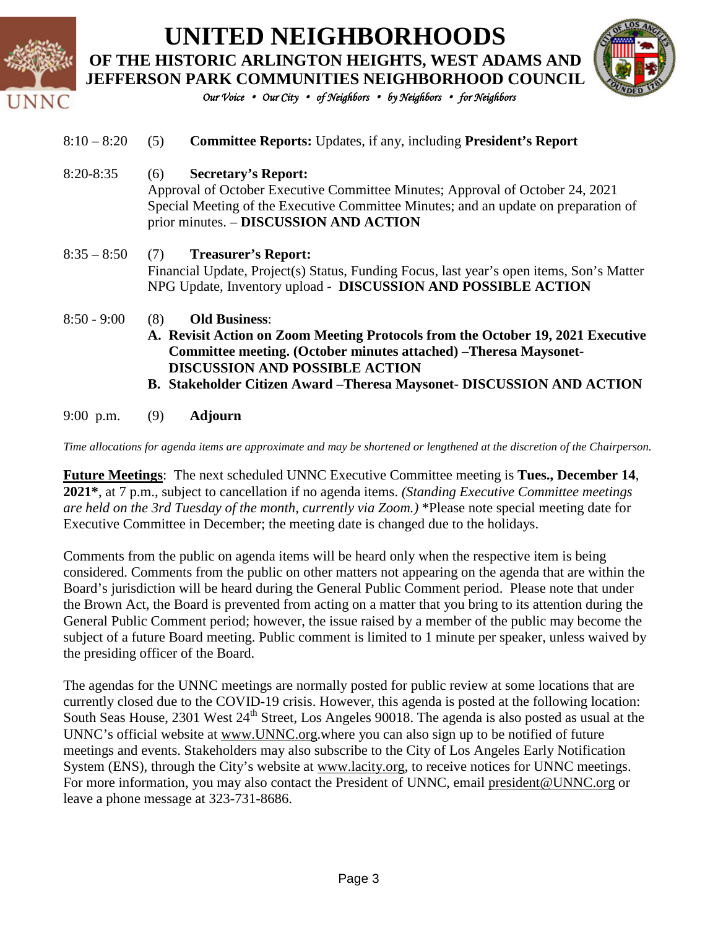| INC |               | <b>UNITED NEIGHBORHOODS</b><br>OF THE HISTORIC ARLINGTON HEIGHTS, WEST ADAMS AND<br><b>JEFFERSON PARK COMMUNITIES NEIGHBORHOOD COUNCIL</b><br>Our Voice • Our City • of Neighbors • by Neighbors • for Neighbors                                                                                      |
|-----|---------------|-------------------------------------------------------------------------------------------------------------------------------------------------------------------------------------------------------------------------------------------------------------------------------------------------------|
|     | $8:10 - 8:20$ | (5)<br><b>Committee Reports:</b> Updates, if any, including <b>President's Report</b>                                                                                                                                                                                                                 |
|     | $8:20 - 8:35$ | <b>Secretary's Report:</b><br>(6)<br>Approval of October Executive Committee Minutes; Approval of October 24, 2021<br>Special Meeting of the Executive Committee Minutes; and an update on preparation of<br>prior minutes. - DISCUSSION AND ACTION                                                   |
|     | $8:35 - 8:50$ | <b>Treasurer's Report:</b><br>(7)<br>Financial Update, Project(s) Status, Funding Focus, last year's open items, Son's Matter<br>NPG Update, Inventory upload - DISCUSSION AND POSSIBLE ACTION                                                                                                        |
|     | $8:50 - 9:00$ | <b>Old Business:</b><br>(8)<br>A. Revisit Action on Zoom Meeting Protocols from the October 19, 2021 Executive<br>Committee meeting. (October minutes attached) -Theresa Maysonet-<br><b>DISCUSSION AND POSSIBLE ACTION</b><br>B. Stakeholder Citizen Award - Theresa Maysonet- DISCUSSION AND ACTION |
|     | $9:00$ p.m.   | <b>Adjourn</b><br>(9)                                                                                                                                                                                                                                                                                 |

*Time allocations for agenda items are approximate and may be shortened or lengthened at the discretion of the Chairperson.*

**Future Meetings**: The next scheduled UNNC Executive Committee meeting is **Tues., December 14**, **2021\***, at 7 p.m., subject to cancellation if no agenda items. *(Standing Executive Committee meetings are held on the 3rd Tuesday of the month, currently via Zoom.)* \*Please note special meeting date for Executive Committee in December; the meeting date is changed due to the holidays.

Comments from the public on agenda items will be heard only when the respective item is being considered. Comments from the public on other matters not appearing on the agenda that are within the Board's jurisdiction will be heard during the General Public Comment period. Please note that under the Brown Act, the Board is prevented from acting on a matter that you bring to its attention during the General Public Comment period; however, the issue raised by a member of the public may become the subject of a future Board meeting. Public comment is limited to 1 minute per speaker, unless waived by the presiding officer of the Board.

The agendas for the UNNC meetings are normally posted for public review at some locations that are currently closed due to the COVID-19 crisis. However, this agenda is posted at the following location: South Seas House, 2301 West 24<sup>th</sup> Street, Los Angeles 90018. The agenda is also posted as usual at the UNNC's official website at [www.UNNC.org.](http://www.unnc.org/)where you can also sign up to be notified of future meetings and events. Stakeholders may also subscribe to the City of Los Angeles Early Notification System (ENS), through the City's website at www.lacity.org, to receive notices for UNNC meetings. For more information, you may also contact the President of UNNC, email [president@UNNC.org](mailto:president@UNNC.org) or leave a phone message at 323-731-8686.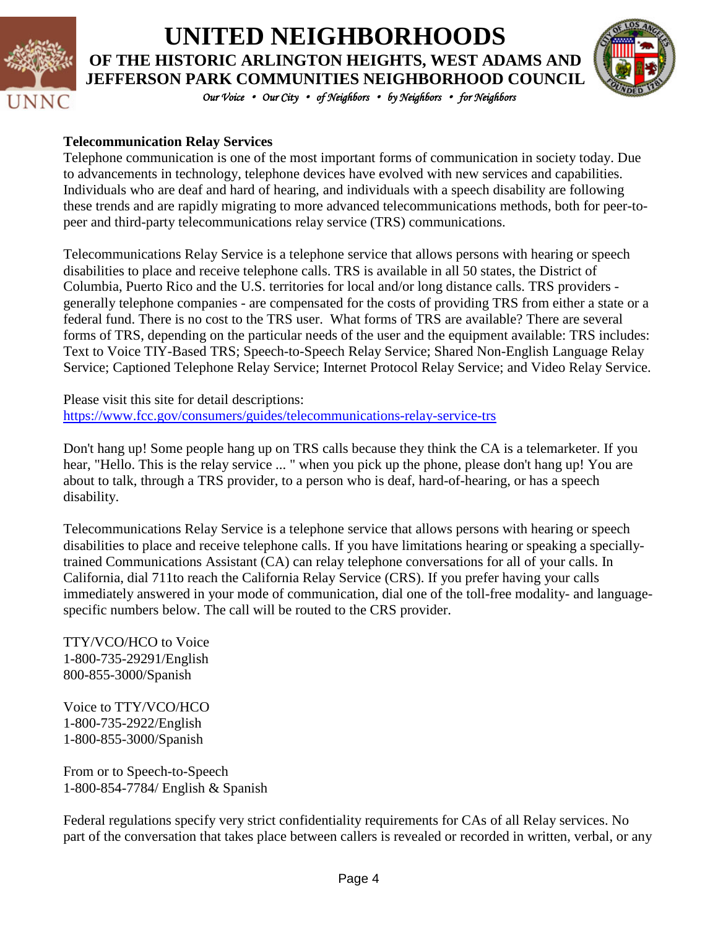

# **UNITED NEIGHBORHOODS OF THE HISTORIC ARLINGTON HEIGHTS, WEST ADAMS AND JEFFERSON PARK COMMUNITIES NEIGHBORHOOD COUNCIL**



*Our Voice* • *Our City* • *of Neighbors* • *by Neighbors* • *for Neighbors* 

## **Telecommunication Relay Services**

Telephone communication is one of the most important forms of communication in society today. Due to advancements in technology, telephone devices have evolved with new services and capabilities. Individuals who are deaf and hard of hearing, and individuals with a speech disability are following these trends and are rapidly migrating to more advanced telecommunications methods, both for peer-topeer and third-party telecommunications relay service (TRS) communications.

Telecommunications Relay Service is a telephone service that allows persons with hearing or speech disabilities to place and receive telephone calls. TRS is available in all 50 states, the District of Columbia, Puerto Rico and the U.S. territories for local and/or long distance calls. TRS providers generally telephone companies - are compensated for the costs of providing TRS from either a state or a federal fund. There is no cost to the TRS user. What forms of TRS are available? There are several forms of TRS, depending on the particular needs of the user and the equipment available: TRS includes: Text to Voice TIY-Based TRS; Speech-to-Speech Relay Service; Shared Non-English Language Relay Service; Captioned Telephone Relay Service; Internet Protocol Relay Service; and Video Relay Service.

Please visit this site for detail descriptions: <https://www.fcc.gov/consumers/guides/telecommunications-relay-service-trs>

Don't hang up! Some people hang up on TRS calls because they think the CA is a telemarketer. If you hear, "Hello. This is the relay service ... " when you pick up the phone, please don't hang up! You are about to talk, through a TRS provider, to a person who is deaf, hard-of-hearing, or has a speech disability.

Telecommunications Relay Service is a telephone service that allows persons with hearing or speech disabilities to place and receive telephone calls. If you have limitations hearing or speaking a speciallytrained Communications Assistant (CA) can relay telephone conversations for all of your calls. In California, dial 711to reach the California Relay Service (CRS). If you prefer having your calls immediately answered in your mode of communication, dial one of the toll-free modality- and languagespecific numbers below. The call will be routed to the CRS provider.

TTY/VCO/HCO to Voice 1-800-735-29291/English 800-855-3000/Spanish

Voice to TTY/VCO/HCO 1-800-735-2922/English 1-800-855-3000/Spanish

From or to Speech-to-Speech 1-800-854-7784/ English & Spanish

Federal regulations specify very strict confidentiality requirements for CAs of all Relay services. No part of the conversation that takes place between callers is revealed or recorded in written, verbal, or any